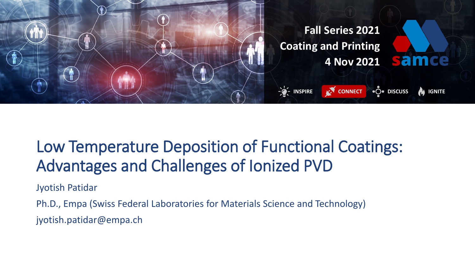

## Low Temperature Deposition of Functional Coatings: Advantages and Challenges of Ionized PVD

Jyotish Patidar

Ph.D., Empa (Swiss Federal Laboratories for Materials Science and Technology)

jyotish.patidar@empa.ch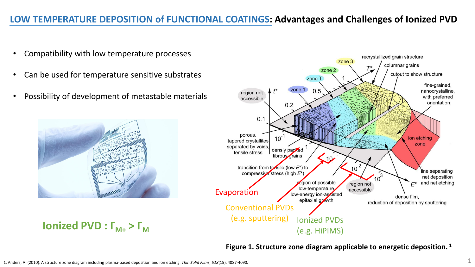#### **LOW TEMPERATURE DEPOSITION of FUNCTIONAL COATINGS: Advantages and Challenges of Ionized PVD**

- Compatibility with low temperature processes
- Can be used for temperature sensitive substrates
- Possibility of development of metastable materials





**Figure 1. Structure zone diagram applicable to energetic deposition. <sup>1</sup>**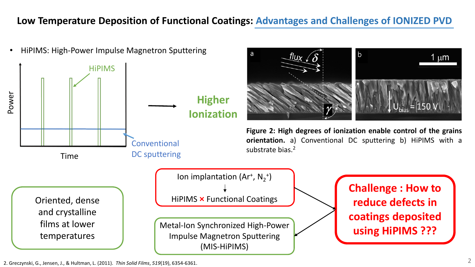#### **Low Temperature Deposition of Functional Coatings: Advantages and Challenges of IONIZED PVD**



2. Greczynski, G., Jensen, J., & Hultman, L. (2011). *Thin Solid Films*, *519*(19), 6354-6361.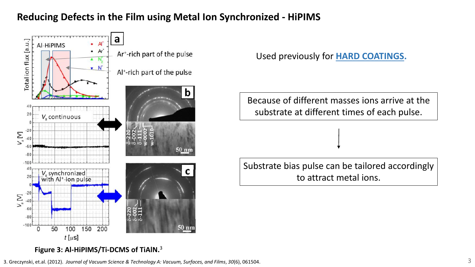### **Reducing Defects in the Film using Metal Ion Synchronized - HiPIMS**



Used previously for **HARD COATINGS.**

Because of different masses ions arrive at the substrate at different times of each pulse.

Substrate bias pulse can be tailored accordingly to attract metal ions.

#### **Figure 3: Al-HiPIMS/Ti-DCMS of TiAlN.** 3

3. Greczynski, et.al. (2012). *Journal of Vacuum Science & Technology A: Vacuum, Surfaces, and Films*, *30*(6), 061504. 3